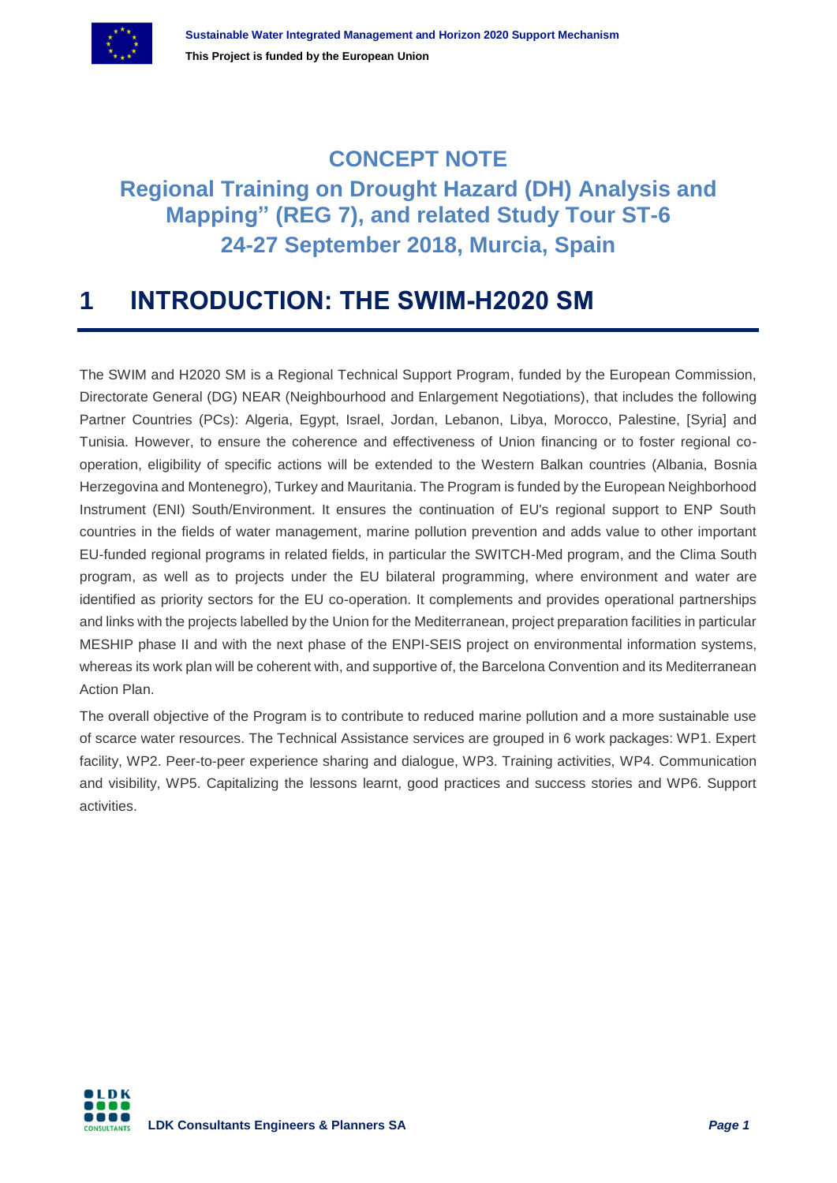

## **CONCEPT NOTE Regional Training on Drought Hazard (DH) Analysis and Mapping" (REG 7), and related Study Tour ST-6 24-27 September 2018, Murcia, Spain**

# **1 INTRODUCTION: THE SWIM-H2020 SM**

The SWIM and H2020 SM is a Regional Technical Support Program, funded by the European Commission, Directorate General (DG) NEAR (Neighbourhood and Enlargement Negotiations), that includes the following Partner Countries (PCs): Algeria, Egypt, Israel, Jordan, Lebanon, Libya, Morocco, Palestine, [Syria] and Tunisia. However, to ensure the coherence and effectiveness of Union financing or to foster regional cooperation, eligibility of specific actions will be extended to the Western Balkan countries (Albania, Bosnia Herzegovina and Montenegro), Turkey and Mauritania. The Program is funded by the European Neighborhood Instrument (ENI) South/Environment. It ensures the continuation of EU's regional support to ENP South countries in the fields of water management, marine pollution prevention and adds value to other important EU-funded regional programs in related fields, in particular the SWITCH-Med program, and the Clima South program, as well as to projects under the EU bilateral programming, where environment and water are identified as priority sectors for the EU co-operation. It complements and provides operational partnerships and links with the projects labelled by the Union for the Mediterranean, project preparation facilities in particular MESHIP phase II and with the next phase of the ENPI-SEIS project on environmental information systems, whereas its work plan will be coherent with, and supportive of, the Barcelona Convention and its Mediterranean Action Plan.

The overall objective of the Program is to contribute to reduced marine pollution and a more sustainable use of scarce water resources. The Technical Assistance services are grouped in 6 work packages: WP1. Expert facility, WP2. Peer-to-peer experience sharing and dialogue, WP3. Training activities, WP4. Communication and visibility, WP5. Capitalizing the lessons learnt, good practices and success stories and WP6. Support activities.

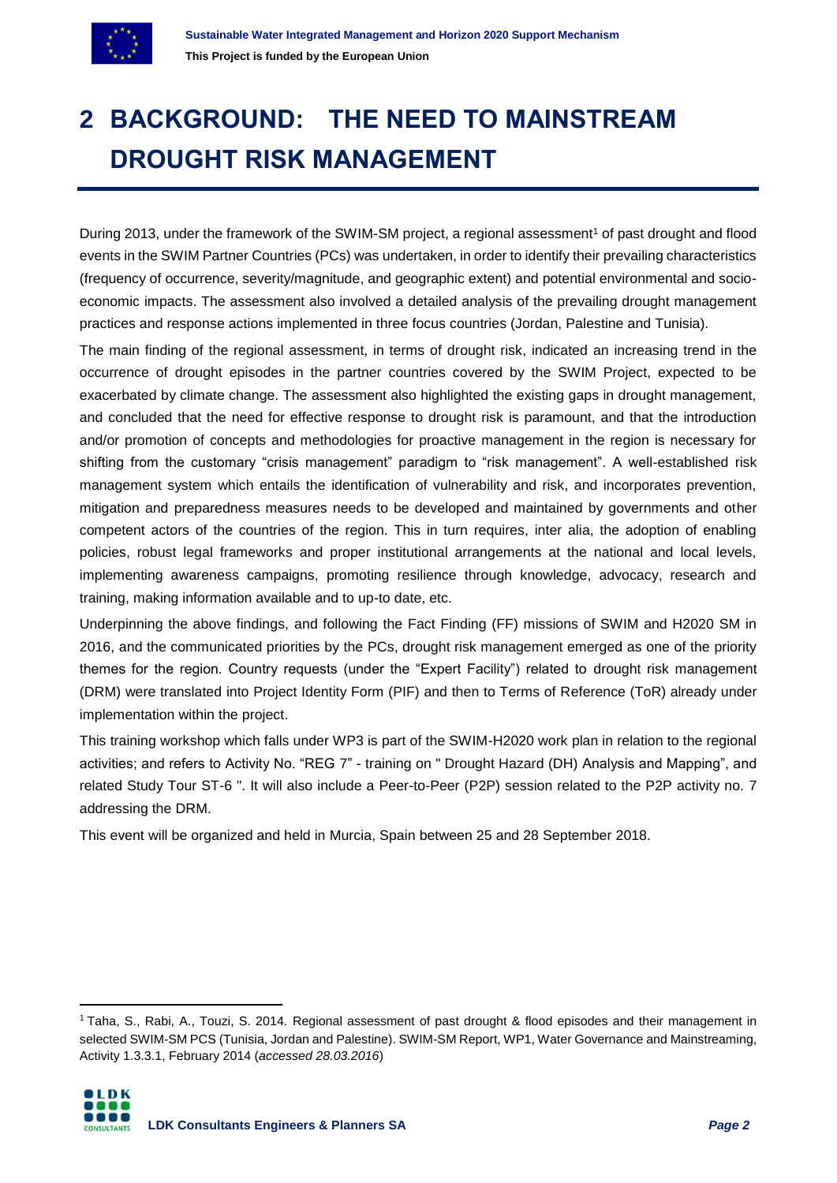

# **2 BACKGROUND: THE NEED TO MAINSTREAM DROUGHT RISK MANAGEMENT**

During 2013, under the framework of the SWIM-SM project, a regional assessment<sup>1</sup> of past drought and flood events in the SWIM Partner Countries (PCs) was undertaken, in order to identify their prevailing characteristics (frequency of occurrence, severity/magnitude, and geographic extent) and potential environmental and socioeconomic impacts. The assessment also involved a detailed analysis of the prevailing drought management practices and response actions implemented in three focus countries (Jordan, Palestine and Tunisia).

The main finding of the regional assessment, in terms of drought risk, indicated an increasing trend in the occurrence of drought episodes in the partner countries covered by the SWIM Project, expected to be exacerbated by climate change. The assessment also highlighted the existing gaps in drought management, and concluded that the need for effective response to drought risk is paramount, and that the introduction and/or promotion of concepts and methodologies for proactive management in the region is necessary for shifting from the customary "crisis management" paradigm to "risk management". A well-established risk management system which entails the identification of vulnerability and risk, and incorporates prevention, mitigation and preparedness measures needs to be developed and maintained by governments and other competent actors of the countries of the region. This in turn requires, inter alia, the adoption of enabling policies, robust legal frameworks and proper institutional arrangements at the national and local levels, implementing awareness campaigns, promoting resilience through knowledge, advocacy, research and training, making information available and to up-to date, etc.

Underpinning the above findings, and following the Fact Finding (FF) missions of SWIM and H2020 SM in 2016, and the communicated priorities by the PCs, drought risk management emerged as one of the priority themes for the region. Country requests (under the "Expert Facility") related to drought risk management (DRM) were translated into Project Identity Form (PIF) and then to Terms of Reference (ToR) already under implementation within the project.

This training workshop which falls under WP3 is part of the SWIM-H2020 work plan in relation to the regional activities; and refers to Activity No. "REG 7" - training on " Drought Hazard (DH) Analysis and Mapping", and related Study Tour ST-6 ". It will also include a Peer-to-Peer (P2P) session related to the P2P activity no. 7 addressing the DRM.

This event will be organized and held in Murcia, Spain between 25 and 28 September 2018.

<sup>&</sup>lt;sup>1</sup> Taha, S., Rabi, A., Touzi, S. 2014. Regional assessment of past drought & flood episodes and their management in selected SWIM-SM PCS (Tunisia, Jordan and Palestine). SWIM-SM Report, WP1, Water Governance and Mainstreaming, Activity 1.3.3.1, February 2014 (*accessed 28.03.2016*)



 $\overline{a}$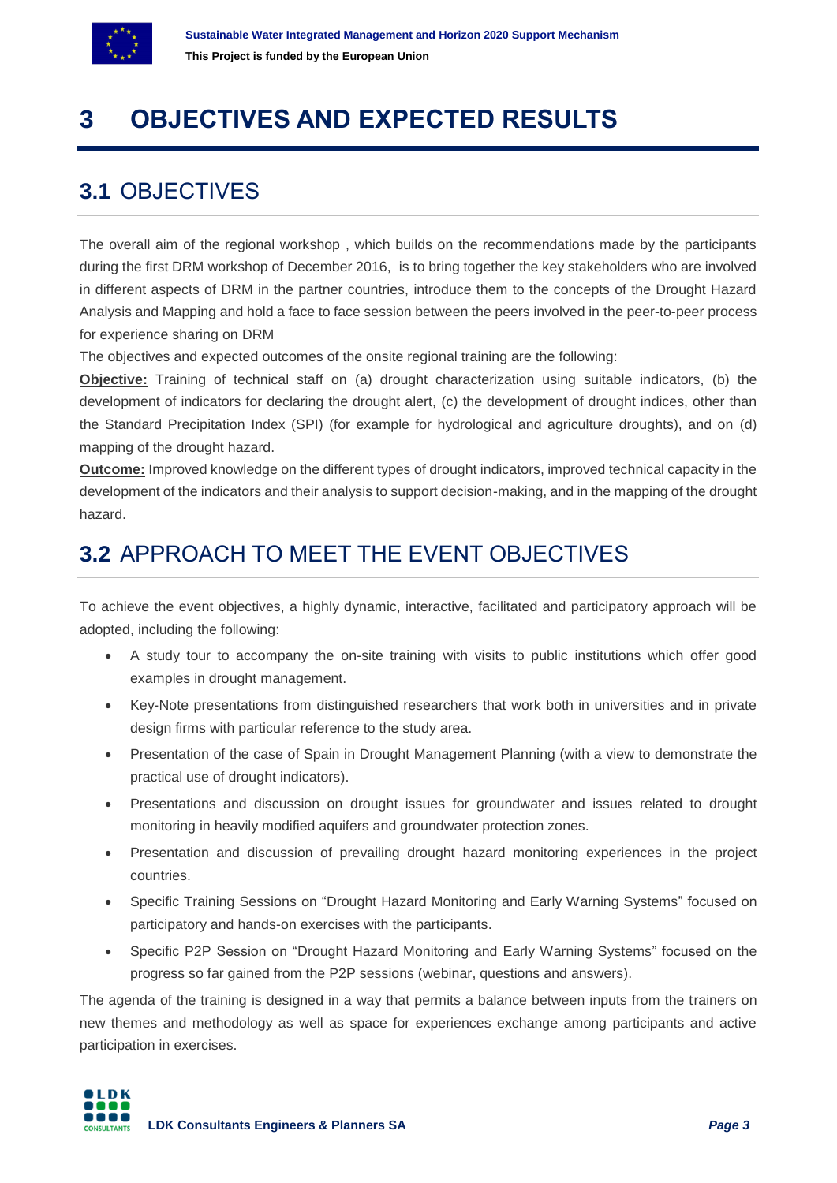

# **3 OBJECTIVES AND EXPECTED RESULTS**

### **3.1** OBJECTIVES

The overall aim of the regional workshop , which builds on the recommendations made by the participants during the first DRM workshop of December 2016, is to bring together the key stakeholders who are involved in different aspects of DRM in the partner countries, introduce them to the concepts of the Drought Hazard Analysis and Mapping and hold a face to face session between the peers involved in the peer-to-peer process for experience sharing on DRM

The objectives and expected outcomes of the onsite regional training are the following:

**Objective:** Training of technical staff on (a) drought characterization using suitable indicators, (b) the development of indicators for declaring the drought alert, (c) the development of drought indices, other than the Standard Precipitation Index (SPI) (for example for hydrological and agriculture droughts), and on (d) mapping of the drought hazard.

**Outcome:** Improved knowledge on the different types of drought indicators, improved technical capacity in the development of the indicators and their analysis to support decision-making, and in the mapping of the drought hazard.

## **3.2** APPROACH TO MEET THE EVENT OBJECTIVES

To achieve the event objectives, a highly dynamic, interactive, facilitated and participatory approach will be adopted, including the following:

- A study tour to accompany the on-site training with visits to public institutions which offer good examples in drought management.
- Key-Note presentations from distinguished researchers that work both in universities and in private design firms with particular reference to the study area.
- Presentation of the case of Spain in Drought Management Planning (with a view to demonstrate the practical use of drought indicators).
- Presentations and discussion on drought issues for groundwater and issues related to drought monitoring in heavily modified aquifers and groundwater protection zones.
- Presentation and discussion of prevailing drought hazard monitoring experiences in the project countries.
- Specific Training Sessions on "Drought Hazard Monitoring and Early Warning Systems" focused on participatory and hands-on exercises with the participants.
- Specific P2P Session on "Drought Hazard Monitoring and Early Warning Systems" focused on the progress so far gained from the P2P sessions (webinar, questions and answers).

The agenda of the training is designed in a way that permits a balance between inputs from the trainers on new themes and methodology as well as space for experiences exchange among participants and active participation in exercises.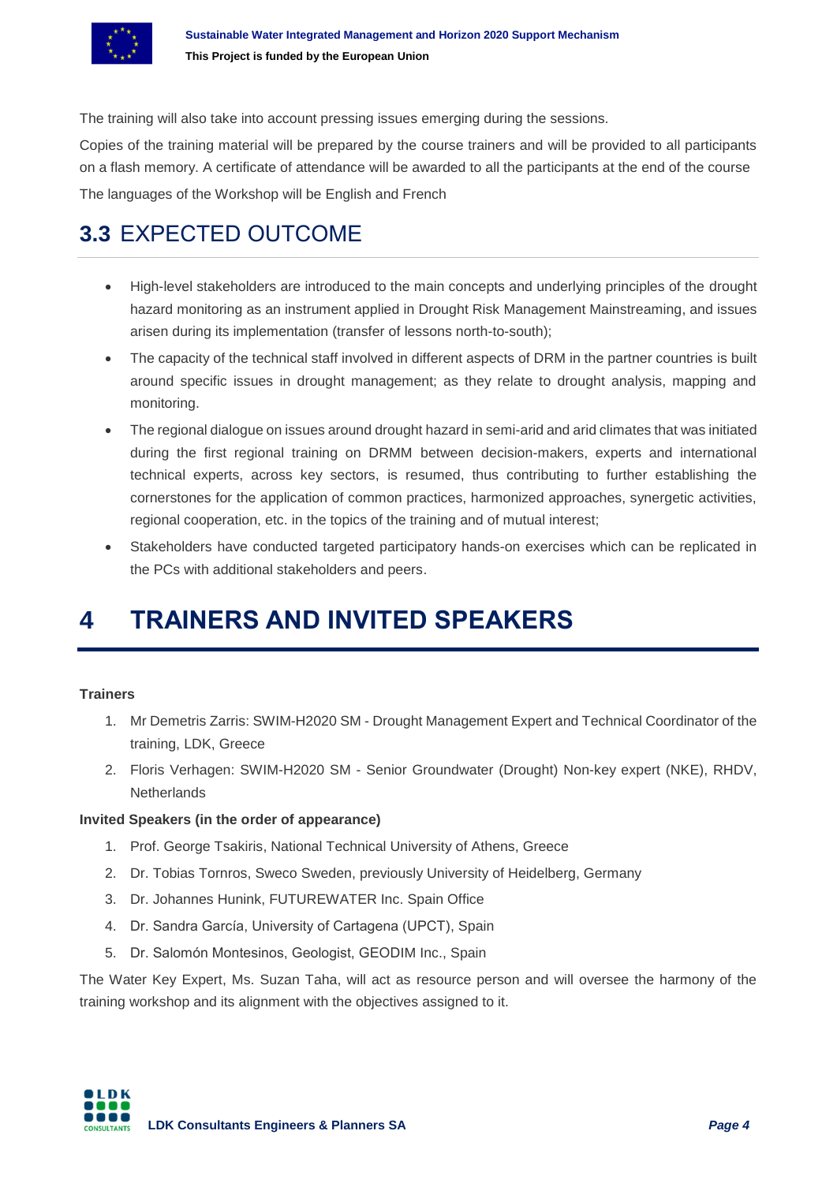

The training will also take into account pressing issues emerging during the sessions.

Copies of the training material will be prepared by the course trainers and will be provided to all participants on a flash memory. A certificate of attendance will be awarded to all the participants at the end of the course The languages of the Workshop will be English and French

## **3.3** EXPECTED OUTCOME

- High-level stakeholders are introduced to the main concepts and underlying principles of the drought hazard monitoring as an instrument applied in Drought Risk Management Mainstreaming, and issues arisen during its implementation (transfer of lessons north-to-south);
- The capacity of the technical staff involved in different aspects of DRM in the partner countries is built around specific issues in drought management; as they relate to drought analysis, mapping and monitoring.
- The regional dialogue on issues around drought hazard in semi-arid and arid climates that was initiated during the first regional training on DRMM between decision-makers, experts and international technical experts, across key sectors, is resumed, thus contributing to further establishing the cornerstones for the application of common practices, harmonized approaches, synergetic activities, regional cooperation, etc. in the topics of the training and of mutual interest;
- Stakeholders have conducted targeted participatory hands-on exercises which can be replicated in the PCs with additional stakeholders and peers.

# **4 TRAINERS AND INVITED SPEAKERS**

#### **Trainers**

- 1. Mr Demetris Zarris: SWIM-H2020 SM Drought Management Expert and Technical Coordinator of the training, LDK, Greece
- 2. Floris Verhagen: SWIM-H2020 SM Senior Groundwater (Drought) Non-key expert (NKE), RHDV, **Netherlands**

#### **Invited Speakers (in the order of appearance)**

- 1. Prof. George Tsakiris, National Technical University of Athens, Greece
- 2. Dr. Tobias Tornros, Sweco Sweden, previously University of Heidelberg, Germany
- 3. Dr. Johannes Hunink, FUTUREWATER Inc. Spain Office
- 4. Dr. Sandra García, University of Cartagena (UPCT), Spain
- 5. Dr. Salomón Montesinos, Geologist, GEODIM Inc., Spain

The Water Key Expert, Ms. Suzan Taha, will act as resource person and will oversee the harmony of the training workshop and its alignment with the objectives assigned to it.

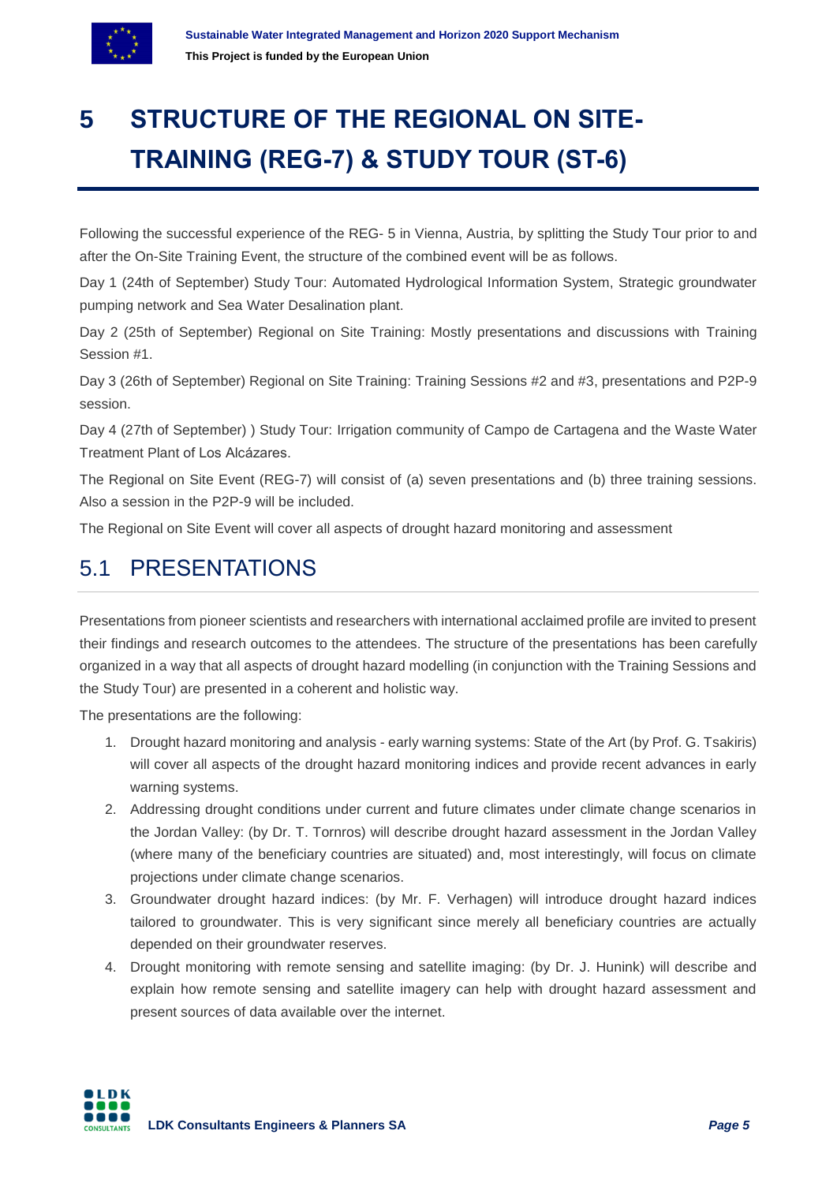

# **5 STRUCTURE OF THE REGIONAL ON SITE-TRAINING (REG-7) & STUDY TOUR (ST-6)**

Following the successful experience of the REG- 5 in Vienna, Austria, by splitting the Study Tour prior to and after the On-Site Training Event, the structure of the combined event will be as follows.

Day 1 (24th of September) Study Tour: Automated Hydrological Information System, Strategic groundwater pumping network and Sea Water Desalination plant.

Day 2 (25th of September) Regional on Site Training: Mostly presentations and discussions with Training Session #1.

Day 3 (26th of September) Regional on Site Training: Training Sessions #2 and #3, presentations and P2P-9 session.

Day 4 (27th of September) ) Study Tour: Irrigation community of Campo de Cartagena and the Waste Water Treatment Plant of Los Alcázares.

The Regional on Site Event (REG-7) will consist of (a) seven presentations and (b) three training sessions. Also a session in the P2P-9 will be included.

The Regional on Site Event will cover all aspects of drought hazard monitoring and assessment

### 5.1 PRESENTATIONS

Presentations from pioneer scientists and researchers with international acclaimed profile are invited to present their findings and research outcomes to the attendees. The structure of the presentations has been carefully organized in a way that all aspects of drought hazard modelling (in conjunction with the Training Sessions and the Study Tour) are presented in a coherent and holistic way.

The presentations are the following:

- 1. Drought hazard monitoring and analysis early warning systems: State of the Art (by Prof. G. Tsakiris) will cover all aspects of the drought hazard monitoring indices and provide recent advances in early warning systems.
- 2. Addressing drought conditions under current and future climates under climate change scenarios in the Jordan Valley: (by Dr. T. Tornros) will describe drought hazard assessment in the Jordan Valley (where many of the beneficiary countries are situated) and, most interestingly, will focus on climate projections under climate change scenarios.
- 3. Groundwater drought hazard indices: (by Mr. F. Verhagen) will introduce drought hazard indices tailored to groundwater. This is very significant since merely all beneficiary countries are actually depended on their groundwater reserves.
- 4. Drought monitoring with remote sensing and satellite imaging: (by Dr. J. Hunink) will describe and explain how remote sensing and satellite imagery can help with drought hazard assessment and present sources of data available over the internet.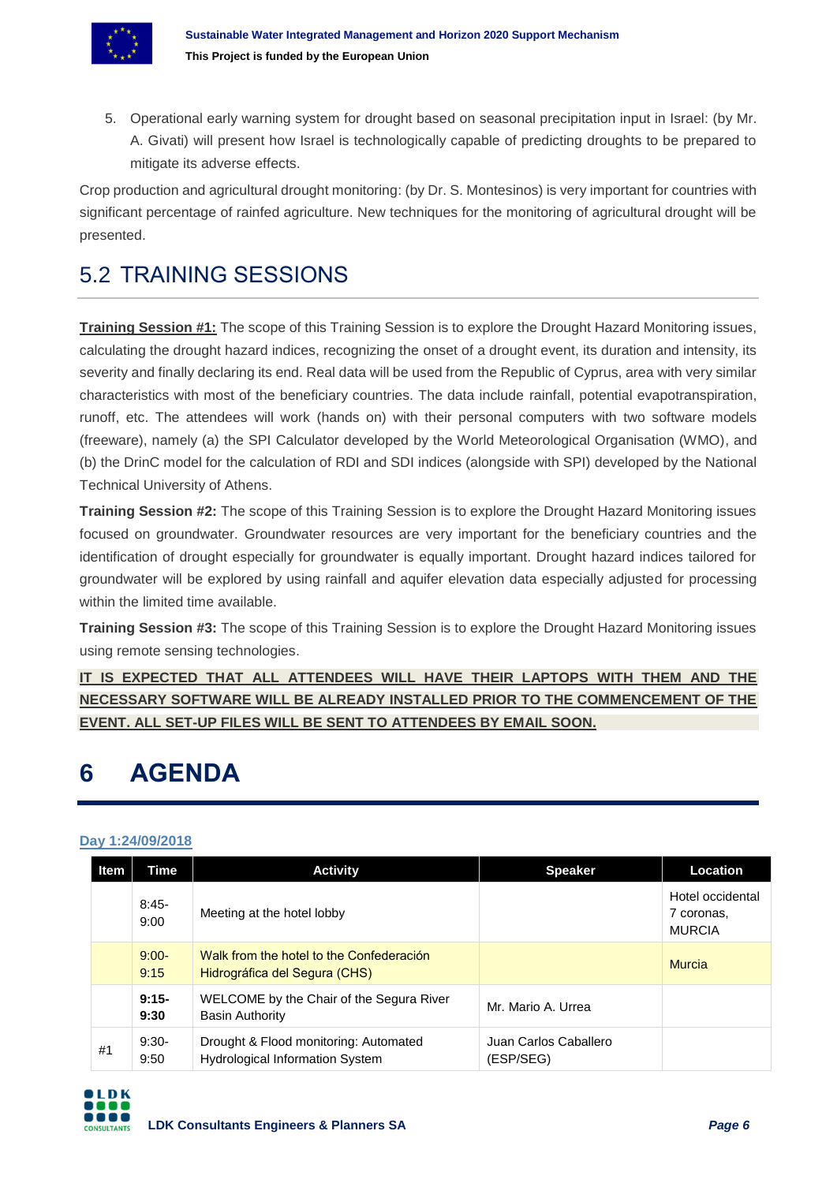

5. Operational early warning system for drought based on seasonal precipitation input in Israel: (by Mr. A. Givati) will present how Israel is technologically capable of predicting droughts to be prepared to mitigate its adverse effects.

Crop production and agricultural drought monitoring: (by Dr. S. Montesinos) is very important for countries with significant percentage of rainfed agriculture. New techniques for the monitoring of agricultural drought will be presented.

### 5.2 TRAINING SESSIONS

**Training Session #1:** The scope of this Training Session is to explore the Drought Hazard Monitoring issues, calculating the drought hazard indices, recognizing the onset of a drought event, its duration and intensity, its severity and finally declaring its end. Real data will be used from the Republic of Cyprus, area with very similar characteristics with most of the beneficiary countries. The data include rainfall, potential evapotranspiration, runoff, etc. The attendees will work (hands on) with their personal computers with two software models (freeware), namely (a) the SPI Calculator developed by the World Meteorological Organisation (WMO), and (b) the DrinC model for the calculation of RDI and SDI indices (alongside with SPI) developed by the National Technical University of Athens.

**Training Session #2:** The scope of this Training Session is to explore the Drought Hazard Monitoring issues focused on groundwater. Groundwater resources are very important for the beneficiary countries and the identification of drought especially for groundwater is equally important. Drought hazard indices tailored for groundwater will be explored by using rainfall and aquifer elevation data especially adjusted for processing within the limited time available.

**Training Session #3:** The scope of this Training Session is to explore the Drought Hazard Monitoring issues using remote sensing technologies.

**IT IS EXPECTED THAT ALL ATTENDEES WILL HAVE THEIR LAPTOPS WITH THEM AND THE NECESSARY SOFTWARE WILL BE ALREADY INSTALLED PRIOR TO THE COMMENCEMENT OF THE EVENT. ALL SET-UP FILES WILL BE SENT TO ATTENDEES BY EMAIL SOON.**

# **6 AGENDA**

#### **Day 1:24/09/2018**

| <b>Item</b> | Time            | <b>Activity</b>                                                                 | <b>Speaker</b>                     | Location                                        |
|-------------|-----------------|---------------------------------------------------------------------------------|------------------------------------|-------------------------------------------------|
|             | $8:45-$<br>9:00 | Meeting at the hotel lobby                                                      |                                    | Hotel occidental<br>7 coronas.<br><b>MURCIA</b> |
|             | $9:00-$<br>9:15 | Walk from the hotel to the Confederación<br>Hidrográfica del Segura (CHS)       |                                    | <b>Murcia</b>                                   |
|             | $9:15-$<br>9:30 | WELCOME by the Chair of the Segura River<br><b>Basin Authority</b>              | Mr. Mario A. Urrea                 |                                                 |
| #1          | $9:30-$<br>9:50 | Drought & Flood monitoring: Automated<br><b>Hydrological Information System</b> | Juan Carlos Caballero<br>(ESP/SEG) |                                                 |

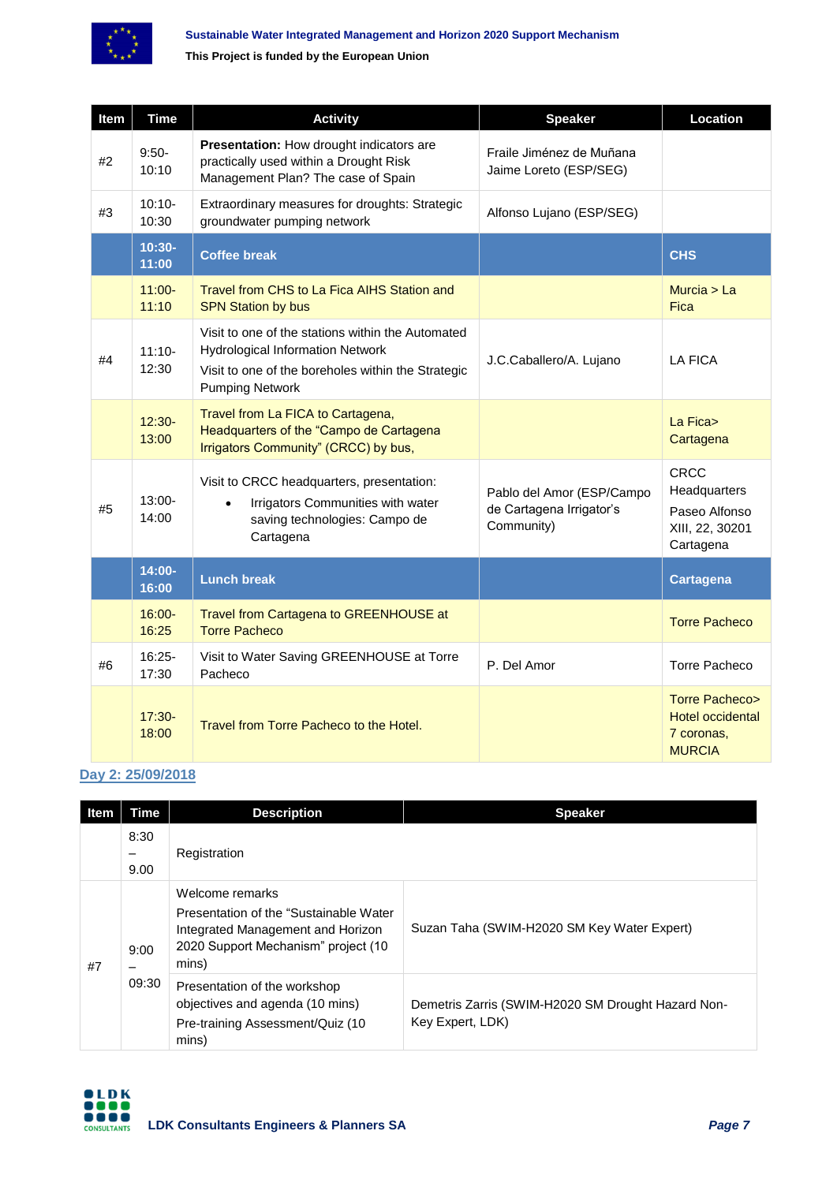

**This Project is funded by the European Union**

| Item | <b>Time</b>        | <b>Activity</b>                                                                                                                                                              | <b>Speaker</b>                                                      | Location                                                                           |
|------|--------------------|------------------------------------------------------------------------------------------------------------------------------------------------------------------------------|---------------------------------------------------------------------|------------------------------------------------------------------------------------|
| #2   | $9:50-$<br>10:10   | <b>Presentation:</b> How drought indicators are<br>practically used within a Drought Risk<br>Management Plan? The case of Spain                                              | Fraile Jiménez de Muñana<br>Jaime Loreto (ESP/SEG)                  |                                                                                    |
| #3   | $10:10-$<br>10:30  | Extraordinary measures for droughts: Strategic<br>groundwater pumping network                                                                                                | Alfonso Lujano (ESP/SEG)                                            |                                                                                    |
|      | $10:30-$<br>11:00  | <b>Coffee break</b>                                                                                                                                                          |                                                                     | <b>CHS</b>                                                                         |
|      | $11:00 -$<br>11:10 | Travel from CHS to La Fica AIHS Station and<br><b>SPN Station by bus</b>                                                                                                     |                                                                     | Murcia $>$ La<br><b>Fica</b>                                                       |
| #4   | $11:10-$<br>12:30  | Visit to one of the stations within the Automated<br><b>Hydrological Information Network</b><br>Visit to one of the boreholes within the Strategic<br><b>Pumping Network</b> | J.C.Caballero/A. Lujano                                             | <b>LA FICA</b>                                                                     |
|      | $12:30-$<br>13:00  | Travel from La FICA to Cartagena,<br>Headquarters of the "Campo de Cartagena<br>Irrigators Community" (CRCC) by bus,                                                         |                                                                     | La Fica><br>Cartagena                                                              |
| #5   | $13:00-$<br>14:00  | Visit to CRCC headquarters, presentation:<br>Irrigators Communities with water<br>$\bullet$<br>saving technologies: Campo de<br>Cartagena                                    | Pablo del Amor (ESP/Campo<br>de Cartagena Irrigator's<br>Community) | <b>CRCC</b><br>Headquarters<br>Paseo Alfonso<br>XIII, 22, 30201<br>Cartagena       |
|      | 14:00-<br>16:00    | <b>Lunch break</b>                                                                                                                                                           |                                                                     | <b>Cartagena</b>                                                                   |
|      | $16:00 -$<br>16:25 | Travel from Cartagena to GREENHOUSE at<br><b>Torre Pacheco</b>                                                                                                               |                                                                     | <b>Torre Pacheco</b>                                                               |
| #6   | 16:25-<br>17:30    | Visit to Water Saving GREENHOUSE at Torre<br>Pacheco                                                                                                                         | P. Del Amor                                                         | Torre Pacheco                                                                      |
|      | 17:30-<br>18:00    | Travel from Torre Pacheco to the Hotel.                                                                                                                                      |                                                                     | <b>Torre Pacheco&gt;</b><br><b>Hotel occidental</b><br>7 coronas,<br><b>MURCIA</b> |

#### **Day 2: 25/09/2018**

| <b>Item</b> | Time          | <b>Description</b>                                                                                                                              | <b>Speaker</b>                                                         |
|-------------|---------------|-------------------------------------------------------------------------------------------------------------------------------------------------|------------------------------------------------------------------------|
|             | 8:30<br>9.00  | Registration                                                                                                                                    |                                                                        |
| #7          | 9:00<br>09:30 | Welcome remarks<br>Presentation of the "Sustainable Water"<br>Integrated Management and Horizon<br>2020 Support Mechanism" project (10<br>mins) | Suzan Taha (SWIM-H2020 SM Key Water Expert)                            |
|             |               | Presentation of the workshop<br>objectives and agenda (10 mins)<br>Pre-training Assessment/Quiz (10<br>mins)                                    | Demetris Zarris (SWIM-H2020 SM Drought Hazard Non-<br>Key Expert, LDK) |

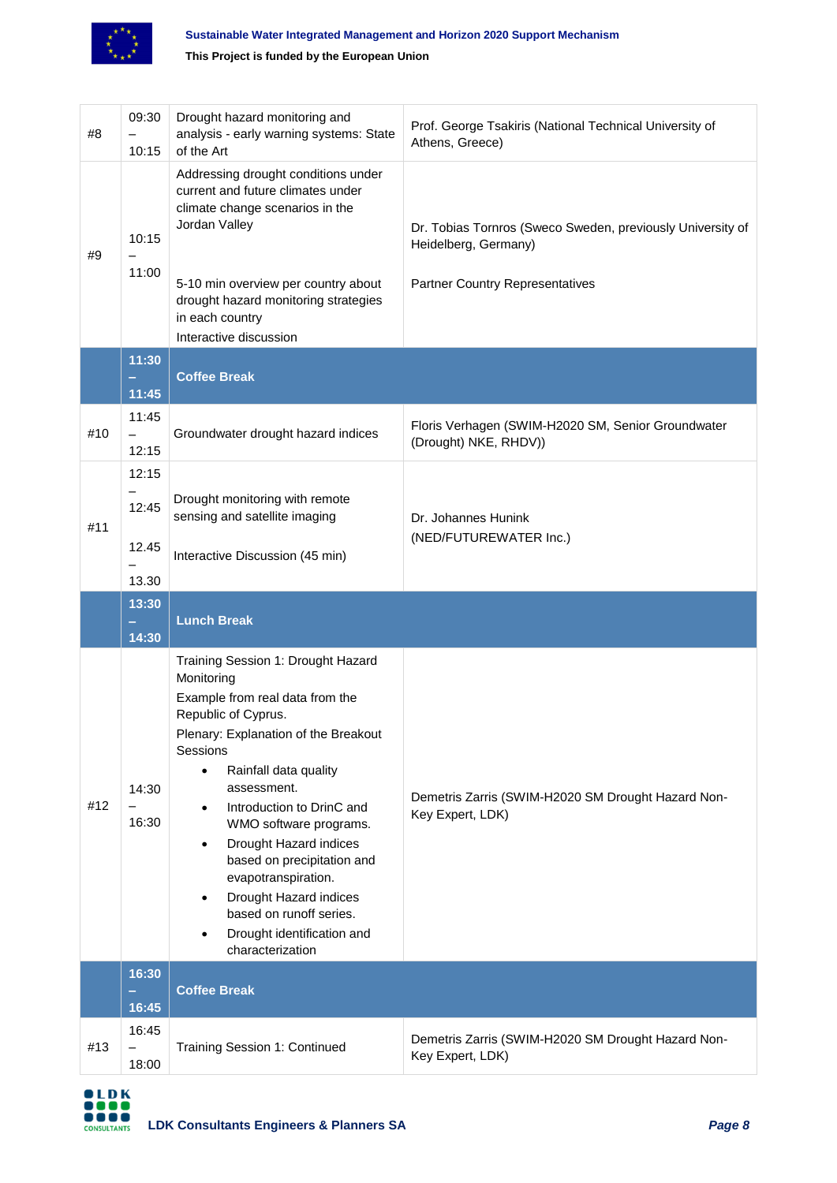

**This Project is funded by the European Union**

| #8  | 09:30<br>10:15                      | Drought hazard monitoring and<br>analysis - early warning systems: State<br>of the Art                                                                                                                                                                                                                                                                                                                                                                                        | Prof. George Tsakiris (National Technical University of<br>Athens, Greece)                                                   |  |
|-----|-------------------------------------|-------------------------------------------------------------------------------------------------------------------------------------------------------------------------------------------------------------------------------------------------------------------------------------------------------------------------------------------------------------------------------------------------------------------------------------------------------------------------------|------------------------------------------------------------------------------------------------------------------------------|--|
| #9  | 10:15<br>11:00                      | Addressing drought conditions under<br>current and future climates under<br>climate change scenarios in the<br>Jordan Valley<br>5-10 min overview per country about<br>drought hazard monitoring strategies<br>in each country<br>Interactive discussion                                                                                                                                                                                                                      | Dr. Tobias Tornros (Sweco Sweden, previously University of<br>Heidelberg, Germany)<br><b>Partner Country Representatives</b> |  |
|     | 11:30                               | <b>Coffee Break</b>                                                                                                                                                                                                                                                                                                                                                                                                                                                           |                                                                                                                              |  |
|     | 11:45                               |                                                                                                                                                                                                                                                                                                                                                                                                                                                                               |                                                                                                                              |  |
| #10 | 11:45<br>$\qquad \qquad -$<br>12:15 | Groundwater drought hazard indices                                                                                                                                                                                                                                                                                                                                                                                                                                            | Floris Verhagen (SWIM-H2020 SM, Senior Groundwater<br>(Drought) NKE, RHDV))                                                  |  |
| #11 | 12:15<br>12:45<br>12.45<br>13.30    | Drought monitoring with remote<br>sensing and satellite imaging<br>Interactive Discussion (45 min)                                                                                                                                                                                                                                                                                                                                                                            | Dr. Johannes Hunink<br>(NED/FUTUREWATER Inc.)                                                                                |  |
|     |                                     |                                                                                                                                                                                                                                                                                                                                                                                                                                                                               |                                                                                                                              |  |
|     | 13:30                               |                                                                                                                                                                                                                                                                                                                                                                                                                                                                               |                                                                                                                              |  |
|     |                                     | <b>Lunch Break</b>                                                                                                                                                                                                                                                                                                                                                                                                                                                            |                                                                                                                              |  |
| #12 | 14:30<br>14:30<br>16:30             | Training Session 1: Drought Hazard<br>Monitoring<br>Example from real data from the<br>Republic of Cyprus.<br>Plenary: Explanation of the Breakout<br>Sessions<br>Rainfall data quality<br>assessment.<br>Introduction to DrinC and<br>$\bullet$<br>WMO software programs.<br>Drought Hazard indices<br>$\bullet$<br>based on precipitation and<br>evapotranspiration.<br>Drought Hazard indices<br>based on runoff series.<br>Drought identification and<br>characterization | Demetris Zarris (SWIM-H2020 SM Drought Hazard Non-<br>Key Expert, LDK)                                                       |  |
|     | 16:30<br>16:45                      | <b>Coffee Break</b>                                                                                                                                                                                                                                                                                                                                                                                                                                                           |                                                                                                                              |  |

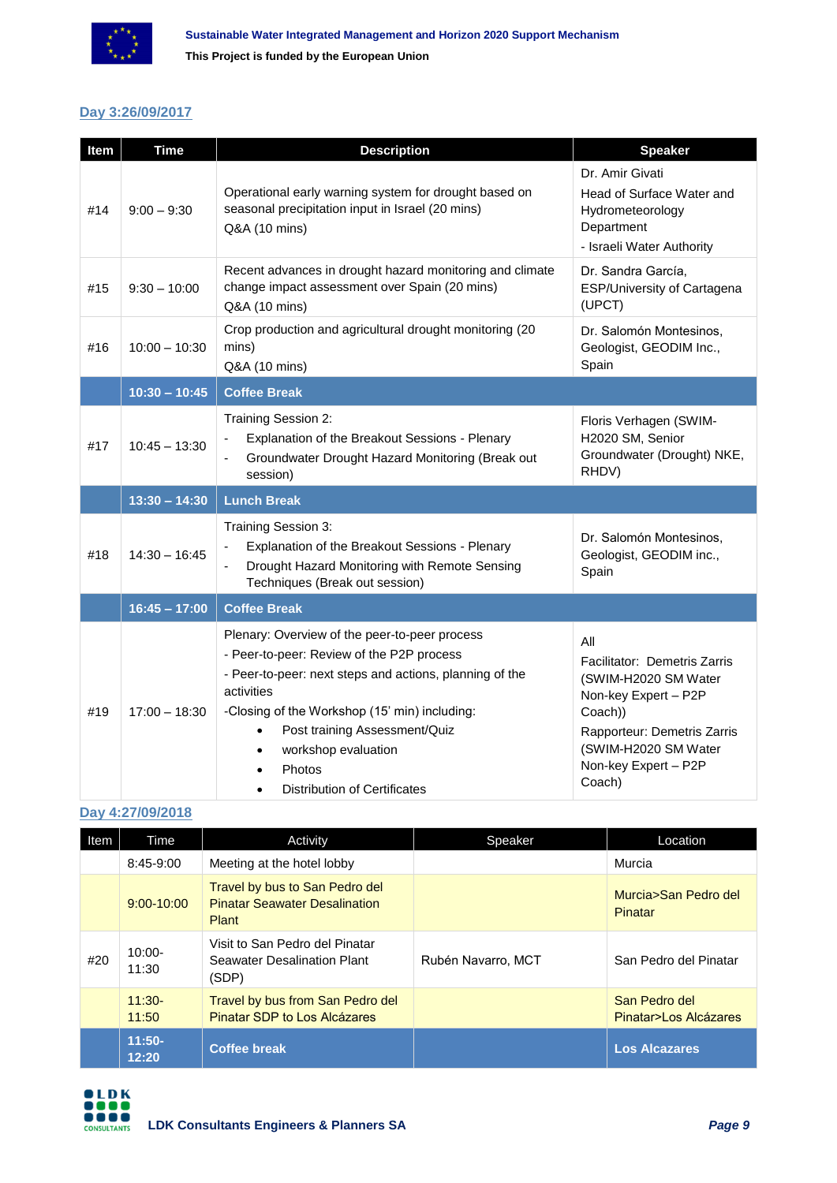

#### **Day 3:26/09/2017**

| Item | <b>Time</b>     | <b>Description</b>                                                                                                                                                                                                                                                                                                                         | <b>Speaker</b>                                                                                                                                                                          |
|------|-----------------|--------------------------------------------------------------------------------------------------------------------------------------------------------------------------------------------------------------------------------------------------------------------------------------------------------------------------------------------|-----------------------------------------------------------------------------------------------------------------------------------------------------------------------------------------|
| #14  | $9:00 - 9:30$   | Operational early warning system for drought based on<br>seasonal precipitation input in Israel (20 mins)<br>Q&A (10 mins)                                                                                                                                                                                                                 | Dr. Amir Givati<br>Head of Surface Water and<br>Hydrometeorology<br>Department<br>- Israeli Water Authority                                                                             |
| #15  | $9:30 - 10:00$  | Recent advances in drought hazard monitoring and climate<br>change impact assessment over Spain (20 mins)<br>Q&A (10 mins)                                                                                                                                                                                                                 | Dr. Sandra García,<br>ESP/University of Cartagena<br>(UPCT)                                                                                                                             |
| #16  | $10:00 - 10:30$ | Crop production and agricultural drought monitoring (20<br>mins)<br>Q&A (10 mins)                                                                                                                                                                                                                                                          | Dr. Salomón Montesinos,<br>Geologist, GEODIM Inc.,<br>Spain                                                                                                                             |
|      | $10:30 - 10:45$ | <b>Coffee Break</b>                                                                                                                                                                                                                                                                                                                        |                                                                                                                                                                                         |
| #17  | $10:45 - 13:30$ | Training Session 2:<br>Explanation of the Breakout Sessions - Plenary<br>Groundwater Drought Hazard Monitoring (Break out<br>$\blacksquare$<br>session)                                                                                                                                                                                    | Floris Verhagen (SWIM-<br>H2020 SM, Senior<br>Groundwater (Drought) NKE,<br>RHDV)                                                                                                       |
|      | $13:30 - 14:30$ | <b>Lunch Break</b>                                                                                                                                                                                                                                                                                                                         |                                                                                                                                                                                         |
| #18  | $14:30 - 16:45$ | Training Session 3:<br>Explanation of the Breakout Sessions - Plenary<br>Drought Hazard Monitoring with Remote Sensing<br>$\blacksquare$<br>Techniques (Break out session)                                                                                                                                                                 | Dr. Salomón Montesinos,<br>Geologist, GEODIM inc.,<br>Spain                                                                                                                             |
|      | $16:45 - 17:00$ | <b>Coffee Break</b>                                                                                                                                                                                                                                                                                                                        |                                                                                                                                                                                         |
| #19  | $17:00 - 18:30$ | Plenary: Overview of the peer-to-peer process<br>- Peer-to-peer: Review of the P2P process<br>- Peer-to-peer: next steps and actions, planning of the<br>activities<br>-Closing of the Workshop (15' min) including:<br>Post training Assessment/Quiz<br>$\bullet$<br>workshop evaluation<br>Photos<br><b>Distribution of Certificates</b> | All<br>Facilitator: Demetris Zarris<br>(SWIM-H2020 SM Water<br>Non-key Expert - P2P<br>Coach))<br>Rapporteur: Demetris Zarris<br>(SWIM-H2020 SM Water<br>Non-key Expert - P2P<br>Coach) |

#### **Day 4:27/09/2018**

| Item | Time               | Activity                                                                        | Speaker            | Location                               |
|------|--------------------|---------------------------------------------------------------------------------|--------------------|----------------------------------------|
|      | 8:45-9:00          | Meeting at the hotel lobby                                                      |                    | Murcia                                 |
|      | $9:00 - 10:00$     | Travel by bus to San Pedro del<br><b>Pinatar Seawater Desalination</b><br>Plant |                    | Murcia>San Pedro del<br>Pinatar        |
| #20  | $10:00 -$<br>11:30 | Visit to San Pedro del Pinatar<br>Seawater Desalination Plant<br>(SDP)          | Rubén Navarro, MCT | San Pedro del Pinatar                  |
|      | $11:30-$<br>11:50  | Travel by bus from San Pedro del<br>Pinatar SDP to Los Alcázares                |                    | San Pedro del<br>Pinatar>Los Alcázares |
|      | $11:50-$<br>12:20  | <b>Coffee break</b>                                                             |                    | <b>Los Alcazares</b>                   |